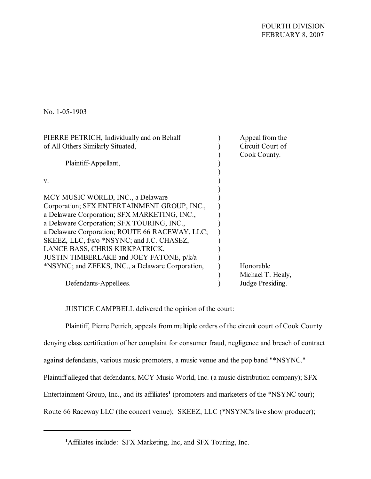FOURTH DIVISION FEBRUARY 8, 2007

No. 1-05-1903

| PIERRE PETRICH, Individually and on Behalf       | Appeal from the   |
|--------------------------------------------------|-------------------|
| of All Others Similarly Situated,                | Circuit Court of  |
|                                                  | Cook County.      |
| Plaintiff-Appellant,                             |                   |
|                                                  |                   |
| V.                                               |                   |
|                                                  |                   |
| MCY MUSIC WORLD, INC., a Delaware                |                   |
| Corporation; SFX ENTERTAINMENT GROUP, INC.,      |                   |
| a Delaware Corporation; SFX MARKETING, INC.,     |                   |
| a Delaware Corporation; SFX TOURING, INC.,       |                   |
| a Delaware Corporation; ROUTE 66 RACEWAY, LLC;   |                   |
| SKEEZ, LLC, f/s/o *NSYNC; and J.C. CHASEZ,       |                   |
| LANCE BASS, CHRIS KIRKPATRICK,                   |                   |
| JUSTIN TIMBERLAKE and JOEY FATONE, p/k/a         |                   |
| *NSYNC; and ZEEKS, INC., a Delaware Corporation, | Honorable         |
|                                                  | Michael T. Healy, |
| Defendants-Appellees.                            | Judge Presiding.  |

JUSTICE CAMPBELL delivered the opinion of the court:

Plaintiff, Pierre Petrich, appeals from multiple orders of the circuit court of Cook County denying class certification of her complaint for consumer fraud, negligence and breach of contract against defendants, various music promoters, a music venue and the pop band "\*NSYNC." Plaintiff alleged that defendants, MCY Music World, Inc. (a music distribution company); SFX Entertainment Group, Inc., and its affiliates<sup>1</sup> (promoters and marketers of the \*NSYNC tour); Route 66 Raceway LLC (the concert venue); SKEEZ, LLC (\*NSYNC's live show producer);

**<sup>1</sup>**Affiliates include: SFX Marketing, Inc, and SFX Touring, Inc.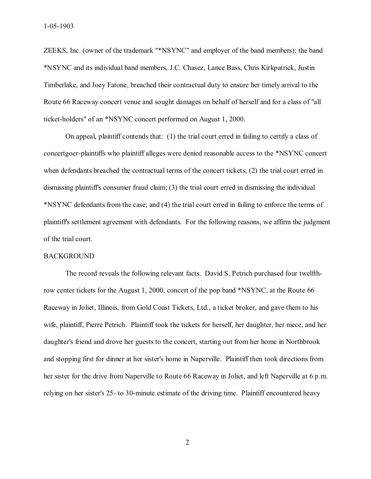ZEEKS, Inc. (owner of the trademark "\*NSYNC" and employer of the band members); the band \*NSYNC and its individual band members, J.C. Chasez, Lance Bass, Chris Kirkpatrick, Justin Timberlake, and Joey Fatone, breached their contractual duty to ensure her timely arrival to the Route 66 Raceway concert venue and sought damages on behalf of herself and for a class of "all ticket-holders" of an \*NSYNC concert performed on August 1, 2000.

On appeal, plaintiff contends that: (1) the trial court erred in failing to certify a class of concertgoer-plaintiffs who plaintiff alleges were denied reasonable access to the \*NSYNC concert when defendants breached the contractual terms of the concert tickets; (2) the trial court erred in dismissing plaintiff's consumer fraud claim; (3) the trial court erred in dismissing the individual \*NSYNC defendants from the case; and (4) the trial court erred in failing to enforce the terms of plaintiff's settlement agreement with defendants. For the following reasons, we affirm the judgment of the trial court.

## BACKGROUND

The record reveals the following relevant facts. David S. Petrich purchased four twelfthrow center tickets for the August 1, 2000, concert of the pop band \*NSYNC, at the Route 66 Raceway in Joliet, Illinois, from Gold Coast Tickets, Ltd., a ticket broker, and gave them to his wife, plaintiff, Pierre Petrich. Plaintiff took the tickets for herself, her daughter, her niece, and her daughter's friend and drove her guests to the concert, starting out from her home in Northbrook and stopping first for dinner at her sister's home in Naperville. Plaintiff then took directions from her sister for the drive from Naperville to Route 66 Raceway in Joliet, and left Naperville at 6 p.m. relying on her sister's 25- to 30-minute estimate of the driving time. Plaintiff encountered heavy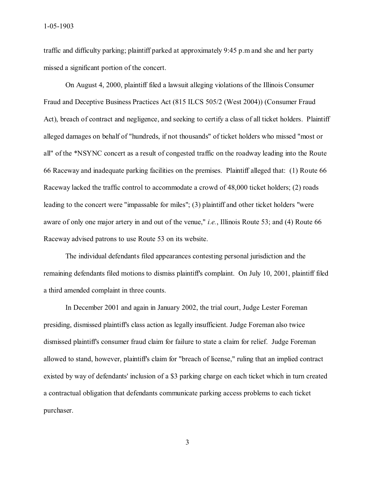traffic and difficulty parking; plaintiff parked at approximately 9:45 p.m and she and her party missed a significant portion of the concert.

On August 4, 2000, plaintiff filed a lawsuit alleging violations of the Illinois Consumer Fraud and Deceptive Business Practices Act (815 ILCS 505/2 (West 2004)) (Consumer Fraud Act), breach of contract and negligence, and seeking to certify a class of all ticket holders. Plaintiff alleged damages on behalf of "hundreds, if not thousands" of ticket holders who missed "most or all" of the \*NSYNC concert as a result of congested traffic on the roadway leading into the Route 66 Raceway and inadequate parking facilities on the premises. Plaintiff alleged that: (1) Route 66 Raceway lacked the traffic control to accommodate a crowd of 48,000 ticket holders; (2) roads leading to the concert were "impassable for miles"; (3) plaintiff and other ticket holders "were aware of only one major artery in and out of the venue," *i.e.*, Illinois Route 53; and (4) Route 66 Raceway advised patrons to use Route 53 on its website.

The individual defendants filed appearances contesting personal jurisdiction and the remaining defendants filed motions to dismiss plaintiff's complaint. On July 10, 2001, plaintiff filed a third amended complaint in three counts.

In December 2001 and again in January 2002, the trial court, Judge Lester Foreman presiding, dismissed plaintiff's class action as legally insufficient. Judge Foreman also twice dismissed plaintiff's consumer fraud claim for failure to state a claim for relief. Judge Foreman allowed to stand, however, plaintiff's claim for "breach of license," ruling that an implied contract existed by way of defendants' inclusion of a \$3 parking charge on each ticket which in turn created a contractual obligation that defendants communicate parking access problems to each ticket purchaser.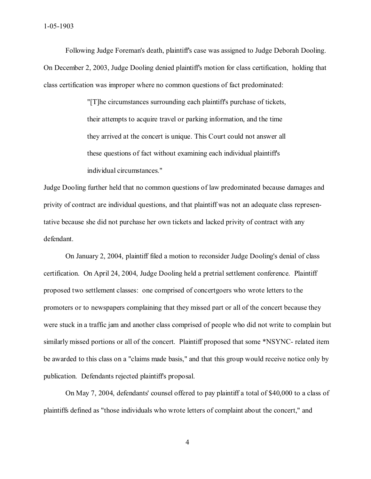Following Judge Foreman's death, plaintiff's case was assigned to Judge Deborah Dooling. On December 2, 2003, Judge Dooling denied plaintiff's motion for class certification, holding that class certification was improper where no common questions of fact predominated:

> "[T]he circumstances surrounding each plaintiff's purchase of tickets, their attempts to acquire travel or parking information, and the time they arrived at the concert is unique. This Court could not answer all these questions of fact without examining each individual plaintiff's individual circumstances."

Judge Dooling further held that no common questions of law predominated because damages and privity of contract are individual questions, and that plaintiff was not an adequate class representative because she did not purchase her own tickets and lacked privity of contract with any defendant.

On January 2, 2004, plaintiff filed a motion to reconsider Judge Dooling's denial of class certification. On April 24, 2004, Judge Dooling held a pretrial settlement conference. Plaintiff proposed two settlement classes: one comprised of concertgoers who wrote letters to the promoters or to newspapers complaining that they missed part or all of the concert because they were stuck in a traffic jam and another class comprised of people who did not write to complain but similarly missed portions or all of the concert. Plaintiff proposed that some \*NSYNC- related item be awarded to this class on a "claims made basis," and that this group would receive notice only by publication. Defendants rejected plaintiff's proposal.

On May 7, 2004, defendants' counsel offered to pay plaintiff a total of \$40,000 to a class of plaintiffs defined as "those individuals who wrote letters of complaint about the concert," and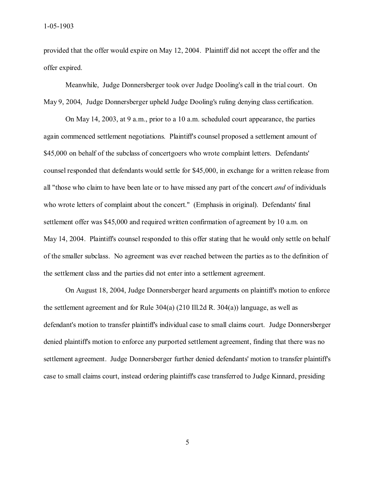provided that the offer would expire on May 12, 2004. Plaintiff did not accept the offer and the offer expired.

Meanwhile, Judge Donnersberger took over Judge Dooling's call in the trial court. On May 9, 2004, Judge Donnersberger upheld Judge Dooling's ruling denying class certification.

On May 14, 2003, at 9 a.m., prior to a 10 a.m. scheduled court appearance, the parties again commenced settlement negotiations. Plaintiff's counsel proposed a settlement amount of \$45,000 on behalf of the subclass of concertgoers who wrote complaint letters. Defendants' counsel responded that defendants would settle for \$45,000, in exchange for a written release from all "those who claim to have been late or to have missed any part of the concert *and* of individuals who wrote letters of complaint about the concert." (Emphasis in original). Defendants' final settlement offer was \$45,000 and required written confirmation of agreement by 10 a.m. on May 14, 2004. Plaintiff's counsel responded to this offer stating that he would only settle on behalf of the smaller subclass. No agreement was ever reached between the parties as to the definition of the settlement class and the parties did not enter into a settlement agreement.

On August 18, 2004, Judge Donnersberger heard arguments on plaintiff's motion to enforce the settlement agreement and for Rule 304(a) (210 Ill.2d R. 304(a)) language, as well as defendant's motion to transfer plaintiff's individual case to small claims court. Judge Donnersberger denied plaintiff's motion to enforce any purported settlement agreement, finding that there was no settlement agreement. Judge Donnersberger further denied defendants' motion to transfer plaintiff's case to small claims court, instead ordering plaintiff's case transferred to Judge Kinnard, presiding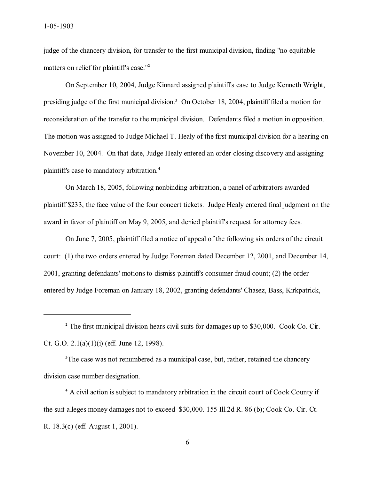judge of the chancery division, for transfer to the first municipal division, finding "no equitable matters on relief for plaintiff's case."<sup>2</sup>

On September 10, 2004, Judge Kinnard assigned plaintiff's case to Judge Kenneth Wright, presiding judge of the first municipal division.**<sup>3</sup>** On October 18, 2004, plaintiff filed a motion for reconsideration of the transfer to the municipal division. Defendants filed a motion in opposition. The motion was assigned to Judge Michael T. Healy of the first municipal division for a hearing on November 10, 2004. On that date, Judge Healy entered an order closing discovery and assigning plaintiff's case to mandatory arbitration.**<sup>4</sup>**

On March 18, 2005, following nonbinding arbitration, a panel of arbitrators awarded plaintiff \$233, the face value of the four concert tickets. Judge Healy entered final judgment on the award in favor of plaintiff on May 9, 2005, and denied plaintiff's request for attorney fees.

On June 7, 2005, plaintiff filed a notice of appeal of the following six orders of the circuit court: (1) the two orders entered by Judge Foreman dated December 12, 2001, and December 14, 2001, granting defendants' motions to dismiss plaintiff's consumer fraud count; (2) the order entered by Judge Foreman on January 18, 2002, granting defendants' Chasez, Bass, Kirkpatrick,

<sup>3</sup>The case was not renumbered as a municipal case, but, rather, retained the chancery division case number designation.

**4** A civil action is subject to mandatory arbitration in the circuit court of Cook County if the suit alleges money damages not to exceed \$30,000. 155 Ill.2d R. 86 (b); Cook Co. Cir. Ct. R. 18.3(c) (eff. August 1, 2001).

<sup>&</sup>lt;sup>2</sup> The first municipal division hears civil suits for damages up to \$30,000. Cook Co. Cir. Ct. G.O. 2.1(a)(1)(i) (eff. June 12, 1998).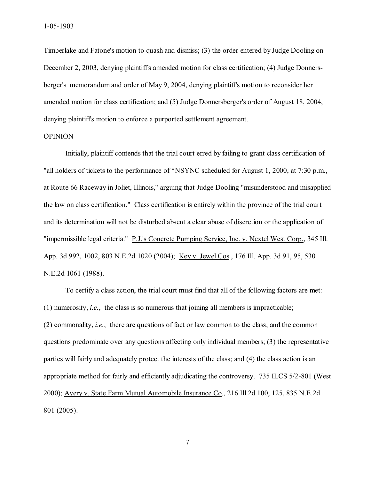Timberlake and Fatone's motion to quash and dismiss; (3) the order entered by Judge Dooling on December 2, 2003, denying plaintiff's amended motion for class certification; (4) Judge Donnersberger's memorandum and order of May 9, 2004, denying plaintiff's motion to reconsider her amended motion for class certification; and (5) Judge Donnersberger's order of August 18, 2004, denying plaintiff's motion to enforce a purported settlement agreement.

## OPINION

Initially, plaintiff contends that the trial court erred by failing to grant class certification of "all holders of tickets to the performance of \*NSYNC scheduled for August 1, 2000, at 7:30 p.m., at Route 66 Raceway in Joliet, Illinois," arguing that Judge Dooling "misunderstood and misapplied the law on class certification." Class certification is entirely within the province of the trial court and its determination will not be disturbed absent a clear abuse of discretion or the application of "impermissible legal criteria." P.J.'s Concrete Pumping Service, Inc. v. Nextel West Corp., 345 Ill. App. 3d 992, 1002, 803 N.E.2d 1020 (2004); Key v. Jewel Cos., 176 Ill. App. 3d 91, 95, 530 N.E.2d 1061 (1988).

 To certify a class action, the trial court must find that all of the following factors are met: (1) numerosity, *i.e.*, the class is so numerous that joining all members is impracticable; (2) commonality, *i.e.*, there are questions of fact or law common to the class, and the common questions predominate over any questions affecting only individual members; (3) the representative parties will fairly and adequately protect the interests of the class; and (4) the class action is an appropriate method for fairly and efficiently adjudicating the controversy. 735 ILCS 5/2-801 (West 2000); Avery v. State Farm Mutual Automobile Insurance Co., 216 Ill.2d 100, 125, 835 N.E.2d 801 (2005).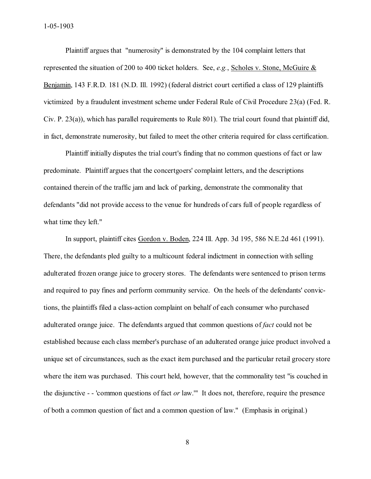Plaintiff argues that "numerosity" is demonstrated by the 104 complaint letters that represented the situation of 200 to 400 ticket holders. See, *e.g.*, Scholes v. Stone, McGuire & Benjamin, 143 F.R.D. 181 (N.D. Ill. 1992) (federal district court certified a class of 129 plaintiffs victimized by a fraudulent investment scheme under Federal Rule of Civil Procedure 23(a) (Fed. R. Civ. P. 23(a)), which has parallel requirements to Rule 801). The trial court found that plaintiff did, in fact, demonstrate numerosity, but failed to meet the other criteria required for class certification.

Plaintiff initially disputes the trial court's finding that no common questions of fact or law predominate. Plaintiff argues that the concertgoers' complaint letters, and the descriptions contained therein of the traffic jam and lack of parking, demonstrate the commonality that defendants "did not provide access to the venue for hundreds of cars full of people regardless of what time they left."

In support, plaintiff cites Gordon v. Boden, 224 Ill. App. 3d 195, 586 N.E.2d 461 (1991). There, the defendants pled guilty to a multicount federal indictment in connection with selling adulterated frozen orange juice to grocery stores. The defendants were sentenced to prison terms and required to pay fines and perform community service. On the heels of the defendants' convictions, the plaintiffs filed a class-action complaint on behalf of each consumer who purchased adulterated orange juice. The defendants argued that common questions of *fact* could not be established because each class member's purchase of an adulterated orange juice product involved a unique set of circumstances, such as the exact item purchased and the particular retail grocery store where the item was purchased. This court held, however, that the commonality test "is couched in the disjunctive - - 'common questions of fact *or* law.'" It does not, therefore, require the presence of both a common question of fact and a common question of law." (Emphasis in original.)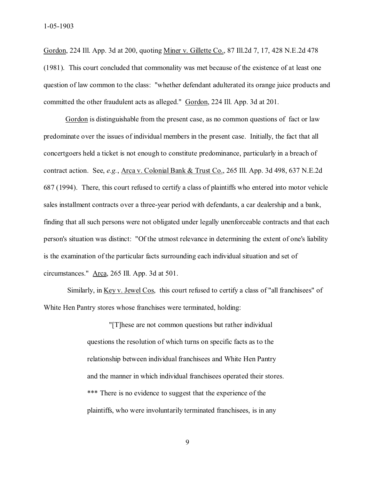Gordon, 224 Ill. App. 3d at 200, quoting Miner v. Gillette Co., 87 Ill.2d 7, 17, 428 N.E.2d 478 (1981). This court concluded that commonality was met because of the existence of at least one question of law common to the class: "whether defendant adulterated its orange juice products and committed the other fraudulent acts as alleged." Gordon, 224 Ill. App. 3d at 201.

Gordon is distinguishable from the present case, as no common questions of fact or law predominate over the issues of individual members in the present case. Initially, the fact that all concertgoers held a ticket is not enough to constitute predominance, particularly in a breach of contract action. See, *e.g.*, Arca v. Colonial Bank & Trust Co., 265 Ill. App. 3d 498, 637 N.E.2d 687 (1994). There, this court refused to certify a class of plaintiffs who entered into motor vehicle sales installment contracts over a three-year period with defendants, a car dealership and a bank, finding that all such persons were not obligated under legally unenforceable contracts and that each person's situation was distinct: "Of the utmost relevance in determining the extent of one's liability is the examination of the particular facts surrounding each individual situation and set of circumstances." Arca, 265 Ill. App. 3d at 501.

Similarly, in <u>Key v. Jewel Cos</u>, this court refused to certify a class of "all franchisees" of White Hen Pantry stores whose franchises were terminated, holding:

> "[T]hese are not common questions but rather individual questions the resolution of which turns on specific facts as to the relationship between individual franchisees and White Hen Pantry and the manner in which individual franchisees operated their stores. \*\*\* There is no evidence to suggest that the experience of the plaintiffs, who were involuntarily terminated franchisees, is in any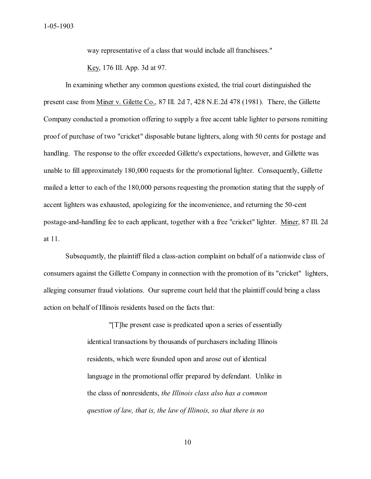way representative of a class that would include all franchisees."

Key, 176 Ill. App. 3d at 97.

In examining whether any common questions existed, the trial court distinguished the present case from Miner v. Gilette Co., 87 Ill. 2d 7, 428 N.E.2d 478 (1981). There, the Gillette Company conducted a promotion offering to supply a free accent table lighter to persons remitting proof of purchase of two "cricket" disposable butane lighters, along with 50 cents for postage and handling. The response to the offer exceeded Gillette's expectations, however, and Gillette was unable to fill approximately 180,000 requests for the promotional lighter. Consequently, Gillette mailed a letter to each of the 180,000 persons requesting the promotion stating that the supply of accent lighters was exhausted, apologizing for the inconvenience, and returning the 50-cent postage-and-handling fee to each applicant, together with a free "cricket" lighter. Miner, 87 Ill. 2d at 11.

Subsequently, the plaintiff filed a class-action complaint on behalf of a nationwide class of consumers against the Gillette Company in connection with the promotion of its "cricket" lighters, alleging consumer fraud violations. Our supreme court held that the plaintiff could bring a class action on behalf of Illinois residents based on the facts that:

> "[T]he present case is predicated upon a series of essentially identical transactions by thousands of purchasers including Illinois residents, which were founded upon and arose out of identical language in the promotional offer prepared by defendant. Unlike in the class of nonresidents, *the Illinois class also has a common question of law, that is, the law of Illinois, so that there is no*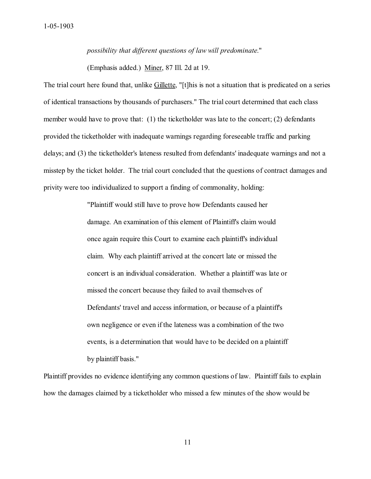*possibility that different questions of law will predominate*."

(Emphasis added.) Miner, 87 Ill. 2d at 19.

The trial court here found that, unlike Gillette, "[t]his is not a situation that is predicated on a series of identical transactions by thousands of purchasers." The trial court determined that each class member would have to prove that:  $(1)$  the ticketholder was late to the concert;  $(2)$  defendants provided the ticketholder with inadequate warnings regarding foreseeable traffic and parking delays; and (3) the ticketholder's lateness resulted from defendants' inadequate warnings and not a misstep by the ticket holder. The trial court concluded that the questions of contract damages and privity were too individualized to support a finding of commonality, holding:

> "Plaintiff would still have to prove how Defendants caused her damage. An examination of this element of Plaintiff's claim would once again require this Court to examine each plaintiff's individual claim. Why each plaintiff arrived at the concert late or missed the concert is an individual consideration. Whether a plaintiff was late or missed the concert because they failed to avail themselves of Defendants' travel and access information, or because of a plaintiff's own negligence or even if the lateness was a combination of the two events, is a determination that would have to be decided on a plaintiff by plaintiff basis."

Plaintiff provides no evidence identifying any common questions of law. Plaintiff fails to explain how the damages claimed by a ticketholder who missed a few minutes of the show would be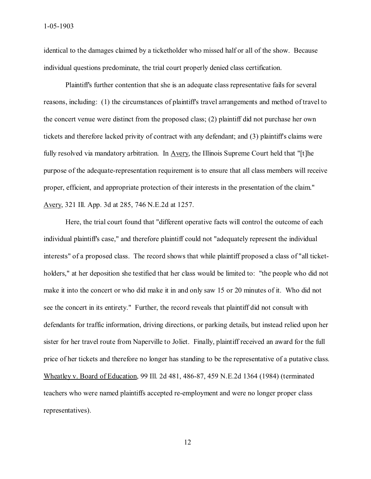identical to the damages claimed by a ticketholder who missed half or all of the show. Because individual questions predominate, the trial court properly denied class certification.

Plaintiff's further contention that she is an adequate class representative fails for several reasons, including: (1) the circumstances of plaintiff's travel arrangements and method of travel to the concert venue were distinct from the proposed class; (2) plaintiff did not purchase her own tickets and therefore lacked privity of contract with any defendant; and (3) plaintiff's claims were fully resolved via mandatory arbitration. In Avery, the Illinois Supreme Court held that "[t]he purpose of the adequate-representation requirement is to ensure that all class members will receive proper, efficient, and appropriate protection of their interests in the presentation of the claim." Avery, 321 Ill. App. 3d at 285, 746 N.E.2d at 1257.

Here, the trial court found that "different operative facts will control the outcome of each individual plaintiff's case," and therefore plaintiff could not "adequately represent the individual interests" of a proposed class. The record shows that while plaintiff proposed a class of "all ticketholders," at her deposition she testified that her class would be limited to: "the people who did not make it into the concert or who did make it in and only saw 15 or 20 minutes of it. Who did not see the concert in its entirety." Further, the record reveals that plaintiff did not consult with defendants for traffic information, driving directions, or parking details, but instead relied upon her sister for her travel route from Naperville to Joliet. Finally, plaintiff received an award for the full price of her tickets and therefore no longer has standing to be the representative of a putative class. Wheatley v. Board of Education, 99 Ill. 2d 481, 486-87, 459 N.E.2d 1364 (1984) (terminated teachers who were named plaintiffs accepted re-employment and were no longer proper class representatives).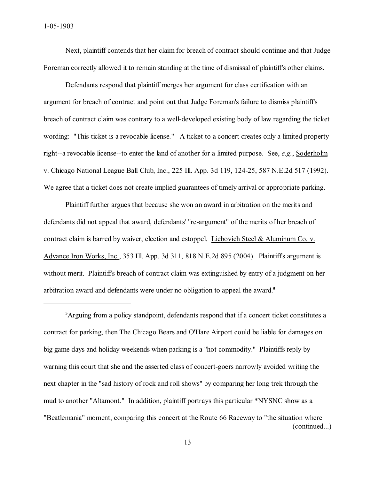Next, plaintiff contends that her claim for breach of contract should continue and that Judge Foreman correctly allowed it to remain standing at the time of dismissal of plaintiff's other claims.

Defendants respond that plaintiff merges her argument for class certification with an argument for breach of contract and point out that Judge Foreman's failure to dismiss plaintiff's breach of contract claim was contrary to a well-developed existing body of law regarding the ticket wording: "This ticket is a revocable license." A ticket to a concert creates only a limited property right--a revocable license--to enter the land of another for a limited purpose. See, *e.g.*, Soderholm v. Chicago National League Ball Club, Inc., 225 Ill. App. 3d 119, 124-25, 587 N.E.2d 517 (1992). We agree that a ticket does not create implied guarantees of timely arrival or appropriate parking.

Plaintiff further argues that because she won an award in arbitration on the merits and defendants did not appeal that award, defendants' "re-argument" of the merits of her breach of contract claim is barred by waiver, election and estoppel. Liebovich Steel & Aluminum Co. v. Advance Iron Works, Inc., 353 Ill. App. 3d 311, 818 N.E.2d 895 (2004). Plaintiff's argument is without merit. Plaintiff's breach of contract claim was extinguished by entry of a judgment on her arbitration award and defendants were under no obligation to appeal the award.**5**

**<sup>5</sup>**Arguing from a policy standpoint, defendants respond that if a concert ticket constitutes a contract for parking, then The Chicago Bears and O'Hare Airport could be liable for damages on big game days and holiday weekends when parking is a "hot commodity." Plaintiffs reply by warning this court that she and the asserted class of concert-goers narrowly avoided writing the next chapter in the "sad history of rock and roll shows" by comparing her long trek through the mud to another "Altamont." In addition, plaintiff portrays this particular \*NYSNC show as a "Beatlemania" moment, comparing this concert at the Route 66 Raceway to "the situation where (continued...)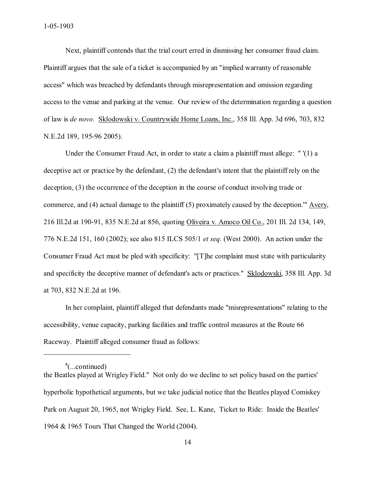Next, plaintiff contends that the trial court erred in dismissing her consumer fraud claim. Plaintiff argues that the sale of a ticket is accompanied by an "implied warranty of reasonable access" which was breached by defendants through misrepresentation and omission regarding access to the venue and parking at the venue. Our review of the determination regarding a question of law is *de novo*. Sklodowski v. Countrywide Home Loans, Inc., 358 Ill. App. 3d 696, 703, 832 N.E.2d 189, 195-96 2005).

Under the Consumer Fraud Act, in order to state a claim a plaintiff must allege: " '(1) a deceptive act or practice by the defendant, (2) the defendant's intent that the plaintiff rely on the deception, (3) the occurrence of the deception in the course of conduct involving trade or commerce, and (4) actual damage to the plaintiff (5) proximately caused by the deception.'" Avery, 216 Ill.2d at 190-91, 835 N.E.2d at 856, quoting Oliveira v. Amoco Oil Co., 201 Ill. 2d 134, 149, 776 N.E.2d 151, 160 (2002); see also 815 ILCS 505/1 *et seq.* (West 2000). An action under the Consumer Fraud Act must be pled with specificity: "[T]he complaint must state with particularity and specificity the deceptive manner of defendant's acts or practices." Sklodowski, 358 Ill. App. 3d at 703, 832 N.E.2d at 196.

In her complaint, plaintiff alleged that defendants made "misrepresentations" relating to the accessibility, venue capacity, parking facilities and traffic control measures at the Route 66 Raceway. Plaintiff alleged consumer fraud as follows:

**<sup>5</sup>** (...continued)

the Beatles played at Wrigley Field." Not only do we decline to set policy based on the parties' hyperbolic hypothetical arguments, but we take judicial notice that the Beatles played Comiskey Park on August 20, 1965, not Wrigley Field. See, L. Kane, Ticket to Ride: Inside the Beatles' 1964 & 1965 Tours That Changed the World (2004).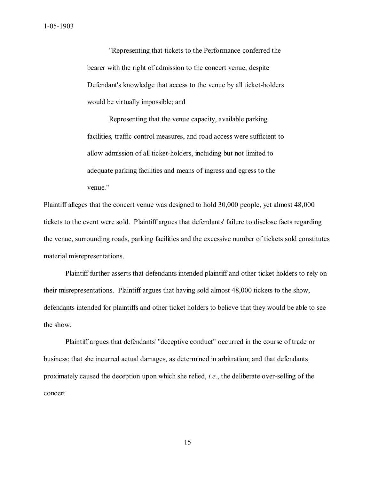"Representing that tickets to the Performance conferred the bearer with the right of admission to the concert venue, despite Defendant's knowledge that access to the venue by all ticket-holders would be virtually impossible; and

Representing that the venue capacity, available parking facilities, traffic control measures, and road access were sufficient to allow admission of all ticket-holders, including but not limited to adequate parking facilities and means of ingress and egress to the venue."

Plaintiff alleges that the concert venue was designed to hold 30,000 people, yet almost 48,000 tickets to the event were sold. Plaintiff argues that defendants' failure to disclose facts regarding the venue, surrounding roads, parking facilities and the excessive number of tickets sold constitutes material misrepresentations.

Plaintiff further asserts that defendants intended plaintiff and other ticket holders to rely on their misrepresentations. Plaintiff argues that having sold almost 48,000 tickets to the show, defendants intended for plaintiffs and other ticket holders to believe that they would be able to see the show.

Plaintiff argues that defendants' "deceptive conduct" occurred in the course of trade or business; that she incurred actual damages, as determined in arbitration; and that defendants proximately caused the deception upon which she relied, *i.e.*, the deliberate over-selling of the concert.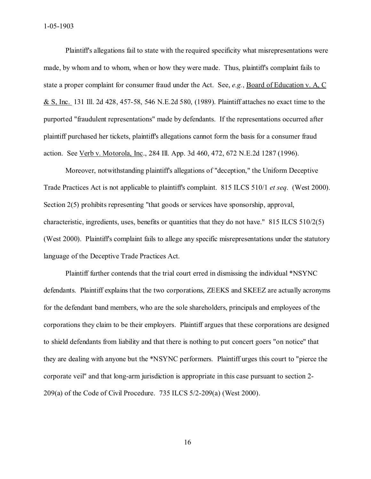1-05-1903

Plaintiff's allegations fail to state with the required specificity what misrepresentations were made, by whom and to whom, when or how they were made. Thus, plaintiff's complaint fails to state a proper complaint for consumer fraud under the Act. See, *e.g.*, Board of Education v. A, C & S, Inc. 131 Ill. 2d 428, 457-58, 546 N.E.2d 580, (1989). Plaintiff attaches no exact time to the purported "fraudulent representations" made by defendants. If the representations occurred after plaintiff purchased her tickets, plaintiff's allegations cannot form the basis for a consumer fraud action. See Verb v. Motorola, Inc., 284 Ill. App. 3d 460, 472, 672 N.E.2d 1287 (1996).

Moreover, notwithstanding plaintiff's allegations of "deception," the Uniform Deceptive Trade Practices Act is not applicable to plaintiff's complaint. 815 ILCS 510/1 *et seq*. (West 2000). Section 2(5) prohibits representing "that goods or services have sponsorship, approval, characteristic, ingredients, uses, benefits or quantities that they do not have." 815 ILCS 510/2(5) (West 2000). Plaintiff's complaint fails to allege any specific misrepresentations under the statutory language of the Deceptive Trade Practices Act.

Plaintiff further contends that the trial court erred in dismissing the individual \*NSYNC defendants. Plaintiff explains that the two corporations, ZEEKS and SKEEZ are actually acronyms for the defendant band members, who are the sole shareholders, principals and employees of the corporations they claim to be their employers. Plaintiff argues that these corporations are designed to shield defendants from liability and that there is nothing to put concert goers "on notice" that they are dealing with anyone but the \*NSYNC performers. Plaintiff urges this court to "pierce the corporate veil" and that long-arm jurisdiction is appropriate in this case pursuant to section 2- 209(a) of the Code of Civil Procedure. 735 ILCS 5/2-209(a) (West 2000).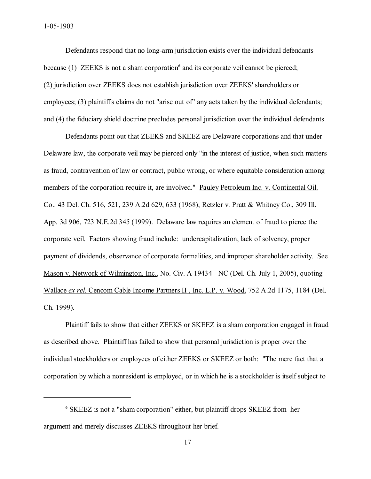Defendants respond that no long-arm jurisdiction exists over the individual defendants because (1) ZEEKS is not a sham corporation<sup>6</sup> and its corporate veil cannot be pierced; (2) jurisdiction over ZEEKS does not establish jurisdiction over ZEEKS' shareholders or employees; (3) plaintiff's claims do not "arise out of" any acts taken by the individual defendants; and (4) the fiduciary shield doctrine precludes personal jurisdiction over the individual defendants.

Defendants point out that ZEEKS and SKEEZ are Delaware corporations and that under Delaware law, the corporate veil may be pierced only "in the interest of justice, when such matters as fraud, contravention of law or contract, public wrong, or where equitable consideration among members of the corporation require it, are involved." Pauley Petroleum Inc. v. Continental Oil. Co.. 43 Del. Ch. 516, 521, 239 A.2d 629, 633 (1968); Retzler v. Pratt & Whitney Co., 309 Ill. App. 3d 906, 723 N.E.2d 345 (1999). Delaware law requires an element of fraud to pierce the corporate veil. Factors showing fraud include: undercapitalization, lack of solvency, proper payment of dividends, observance of corporate formalities, and improper shareholder activity. See Mason v. Network of Wilmington, Inc., No. Civ. A 19434 - NC (Del. Ch. July 1, 2005), quoting Wallace *ex rel.* Cencom Cable Income Partners II , Inc. L.P. v. Wood, 752 A.2d 1175, 1184 (Del. Ch. 1999).

Plaintiff fails to show that either ZEEKS or SKEEZ is a sham corporation engaged in fraud as described above. Plaintiff has failed to show that personal jurisdiction is proper over the individual stockholders or employees of either ZEEKS or SKEEZ or both: "The mere fact that a corporation by which a nonresident is employed, or in which he is a stockholder is itself subject to

**<sup>6</sup>** SKEEZ is not a "sham corporation" either, but plaintiff drops SKEEZ from her argument and merely discusses ZEEKS throughout her brief.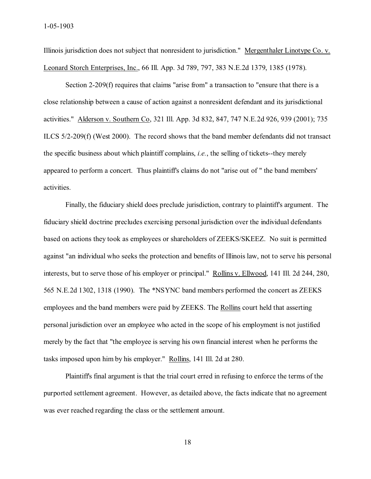Illinois jurisdiction does not subject that nonresident to jurisdiction." Mergenthaler Linotype Co. v. Leonard Storch Enterprises, Inc., 66 Ill. App. 3d 789, 797, 383 N.E.2d 1379, 1385 (1978).

Section 2-209(f) requires that claims "arise from" a transaction to "ensure that there is a close relationship between a cause of action against a nonresident defendant and its jurisdictional activities." Alderson v. Southern Co, 321 Ill. App. 3d 832, 847, 747 N.E.2d 926, 939 (2001); 735 ILCS 5/2-209(f) (West 2000). The record shows that the band member defendants did not transact the specific business about which plaintiff complains, *i.e.*, the selling of tickets--they merely appeared to perform a concert. Thus plaintiff's claims do not "arise out of " the band members' activities.

Finally, the fiduciary shield does preclude jurisdiction, contrary to plaintiff's argument. The fiduciary shield doctrine precludes exercising personal jurisdiction over the individual defendants based on actions they took as employees or shareholders of ZEEKS/SKEEZ. No suit is permitted against "an individual who seeks the protection and benefits of Illinois law, not to serve his personal interests, but to serve those of his employer or principal." Rollins v. Ellwood, 141 Ill. 2d 244, 280, 565 N.E.2d 1302, 1318 (1990). The \*NSYNC band members performed the concert as ZEEKS employees and the band members were paid by ZEEKS. The Rollins court held that asserting personal jurisdiction over an employee who acted in the scope of his employment is not justified merely by the fact that "the employee is serving his own financial interest when he performs the tasks imposed upon him by his employer." Rollins, 141 Ill. 2d at 280.

Plaintiff's final argument is that the trial court erred in refusing to enforce the terms of the purported settlement agreement. However, as detailed above, the facts indicate that no agreement was ever reached regarding the class or the settlement amount.